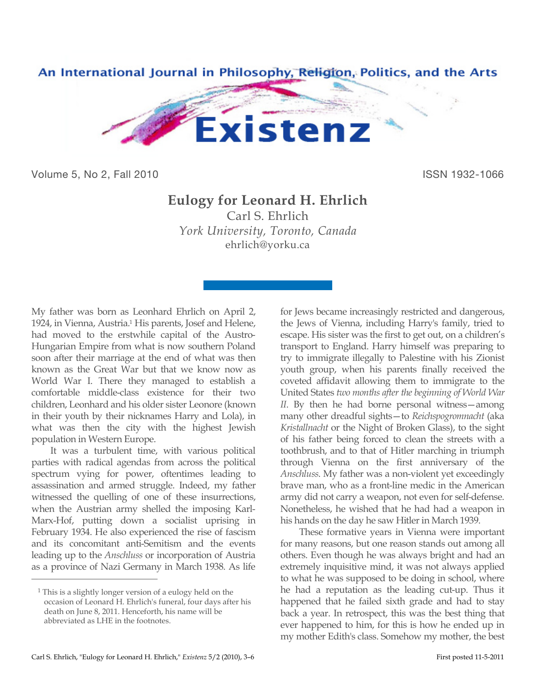

Volume 5, No 2, Fall 2010 ISSN 1932-1066

## **Eulogy for Leonard H. Ehrlich**

Carl S. Ehrlich *York University, Toronto, Canada* ehrlich@yorku.ca

My father was born as Leonhard Ehrlich on April 2, 1924, in Vienna, Austria.1 His parents, Josef and Helene, had moved to the erstwhile capital of the Austro-Hungarian Empire from what is now southern Poland soon after their marriage at the end of what was then known as the Great War but that we know now as World War I. There they managed to establish a comfortable middle-class existence for their two children, Leonhard and his older sister Leonore (known in their youth by their nicknames Harry and Lola), in what was then the city with the highest Jewish population in Western Europe.

It was a turbulent time, with various political parties with radical agendas from across the political spectrum vying for power, oftentimes leading to assassination and armed struggle. Indeed, my father witnessed the quelling of one of these insurrections, when the Austrian army shelled the imposing Karl-Marx-Hof, putting down a socialist uprising in February 1934. He also experienced the rise of fascism and its concomitant anti-Semitism and the events leading up to the *Anschluss* or incorporation of Austria as a province of Nazi Germany in March 1938. As life

 $\overline{a}$ 

for Jews became increasingly restricted and dangerous, the Jews of Vienna, including Harry's family, tried to escape. His sister was the first to get out, on a children's transport to England. Harry himself was preparing to try to immigrate illegally to Palestine with his Zionist youth group, when his parents finally received the coveted affidavit allowing them to immigrate to the United States *two months after the beginning of World War II*. By then he had borne personal witness—among many other dreadful sights—to *Reichspogromnacht* (aka *Kristallnacht* or the Night of Broken Glass), to the sight of his father being forced to clean the streets with a toothbrush, and to that of Hitler marching in triumph through Vienna on the first anniversary of the *Anschluss*. My father was a non-violent yet exceedingly brave man, who as a front-line medic in the American army did not carry a weapon, not even for self-defense. Nonetheless, he wished that he had had a weapon in his hands on the day he saw Hitler in March 1939.

These formative years in Vienna were important for many reasons, but one reason stands out among all others. Even though he was always bright and had an extremely inquisitive mind, it was not always applied to what he was supposed to be doing in school, where he had a reputation as the leading cut-up. Thus it happened that he failed sixth grade and had to stay back a year. In retrospect, this was the best thing that ever happened to him, for this is how he ended up in my mother Edith's class. Somehow my mother, the best

<sup>1</sup> This is a slightly longer version of a eulogy held on the occasion of Leonard H. Ehrlich's funeral, four days after his death on June 8, 2011. Henceforth, his name will be abbreviated as LHE in the footnotes.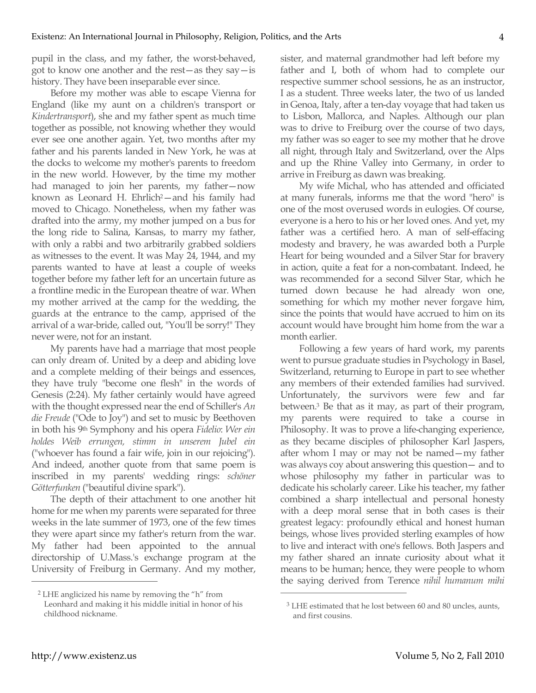pupil in the class, and my father, the worst-behaved, got to know one another and the rest—as they say—is history. They have been inseparable ever since.

Before my mother was able to escape Vienna for England (like my aunt on a children's transport or *Kindertransport*), she and my father spent as much time together as possible, not knowing whether they would ever see one another again. Yet, two months after my father and his parents landed in New York, he was at the docks to welcome my mother's parents to freedom in the new world. However, by the time my mother had managed to join her parents, my father—now known as Leonard H. Ehrlich<sup>2</sup>-and his family had moved to Chicago. Nonetheless, when my father was drafted into the army, my mother jumped on a bus for the long ride to Salina, Kansas, to marry my father, with only a rabbi and two arbitrarily grabbed soldiers as witnesses to the event. It was May 24, 1944, and my parents wanted to have at least a couple of weeks together before my father left for an uncertain future as a frontline medic in the European theatre of war. When my mother arrived at the camp for the wedding, the guards at the entrance to the camp, apprised of the arrival of a war-bride, called out, "You'll be sorry!" They never were, not for an instant.

My parents have had a marriage that most people can only dream of. United by a deep and abiding love and a complete melding of their beings and essences, they have truly "become one flesh" in the words of Genesis (2:24). My father certainly would have agreed with the thought expressed near the end of Schiller's *An die Freude* ("Ode to Joy") and set to music by Beethoven in both his 9th Symphony and his opera *Fidelio*: *Wer ein holdes Weib errungen, stimm in unserem Jubel ein* ("whoever has found a fair wife, join in our rejoicing"). And indeed, another quote from that same poem is inscribed in my parents' wedding rings: *schöner Götterfunken* ("beautiful divine spark").

The depth of their attachment to one another hit home for me when my parents were separated for three weeks in the late summer of 1973, one of the few times they were apart since my father's return from the war. My father had been appointed to the annual directorship of U.Mass.'s exchange program at the University of Freiburg in Germany. And my mother, sister, and maternal grandmother had left before my father and I, both of whom had to complete our respective summer school sessions, he as an instructor, I as a student. Three weeks later, the two of us landed in Genoa, Italy, after a ten-day voyage that had taken us to Lisbon, Mallorca, and Naples. Although our plan was to drive to Freiburg over the course of two days, my father was so eager to see my mother that he drove all night, through Italy and Switzerland, over the Alps and up the Rhine Valley into Germany, in order to arrive in Freiburg as dawn was breaking.

My wife Michal, who has attended and officiated at many funerals, informs me that the word "hero" is one of the most overused words in eulogies. Of course, everyone is a hero to his or her loved ones. And yet, my father was a certified hero. A man of self-effacing modesty and bravery, he was awarded both a Purple Heart for being wounded and a Silver Star for bravery in action, quite a feat for a non-combatant. Indeed, he was recommended for a second Silver Star, which he turned down because he had already won one, something for which my mother never forgave him, since the points that would have accrued to him on its account would have brought him home from the war a month earlier.

Following a few years of hard work, my parents went to pursue graduate studies in Psychology in Basel, Switzerland, returning to Europe in part to see whether any members of their extended families had survived. Unfortunately, the survivors were few and far between.3 Be that as it may, as part of their program, my parents were required to take a course in Philosophy. It was to prove a life-changing experience, as they became disciples of philosopher Karl Jaspers, after whom I may or may not be named—my father was always coy about answering this question— and to whose philosophy my father in particular was to dedicate his scholarly career. Like his teacher, my father combined a sharp intellectual and personal honesty with a deep moral sense that in both cases is their greatest legacy: profoundly ethical and honest human beings, whose lives provided sterling examples of how to live and interact with one's fellows. Both Jaspers and my father shared an innate curiosity about what it means to be human; hence, they were people to whom the saying derived from Terence *nihil humanum mihi* 

 $\overline{a}$ 

 $\overline{a}$ 

<sup>2</sup> LHE anglicized his name by removing the "h" from Leonhard and making it his middle initial in honor of his childhood nickname.

<sup>3</sup> LHE estimated that he lost between 60 and 80 uncles, aunts, and first cousins.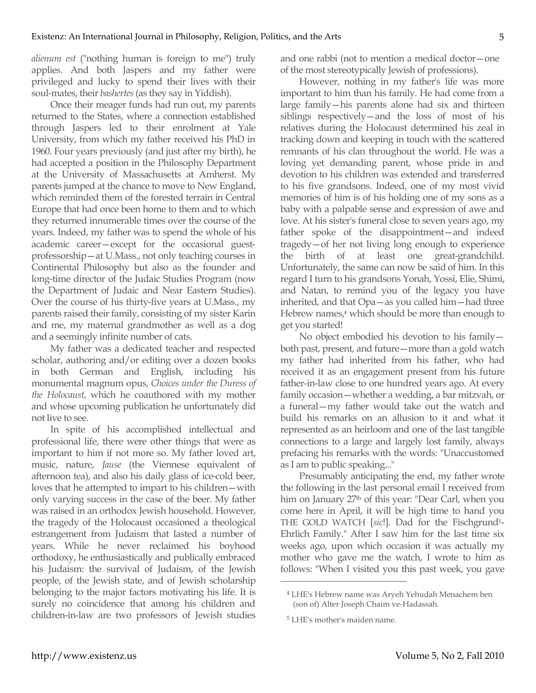*alienum est* ("nothing human is foreign to me") truly applies. And both Jaspers and my father were privileged and lucky to spend their lives with their soul-mates, their *bashertes* (as they say in Yiddish).

Once their meager funds had run out, my parents returned to the States, where a connection established through Jaspers led to their enrolment at Yale University, from which my father received his PhD in 1960. Four years previously (and just after my birth), he had accepted a position in the Philosophy Department at the University of Massachusetts at Amherst. My parents jumped at the chance to move to New England, which reminded them of the forested terrain in Central Europe that had once been home to them and to which they returned innumerable times over the course of the years. Indeed, my father was to spend the whole of his academic career—except for the occasional guestprofessorship—at U.Mass., not only teaching courses in Continental Philosophy but also as the founder and long-time director of the Judaic Studies Program (now the Department of Judaic and Near Eastern Studies). Over the course of his thirty-five years at U.Mass., my parents raised their family, consisting of my sister Karin and me, my maternal grandmother as well as a dog and a seemingly infinite number of cats.

My father was a dedicated teacher and respected scholar, authoring and/or editing over a dozen books in both German and English, including his monumental magnum opus, *Choices under the Duress of the Holocaust*, which he coauthored with my mother and whose upcoming publication he unfortunately did not live to see.

In spite of his accomplished intellectual and professional life, there were other things that were as important to him if not more so. My father loved art, music, nature, *Jause* (the Viennese equivalent of afternoon tea), and also his daily glass of ice-cold beer, loves that he attempted to impart to his children—with only varying success in the case of the beer. My father was raised in an orthodox Jewish household. However, the tragedy of the Holocaust occasioned a theological estrangement from Judaism that lasted a number of years. While he never reclaimed his boyhood orthodoxy, he enthusiastically and publically embraced his Judaism: the survival of Judaism, of the Jewish people, of the Jewish state, and of Jewish scholarship belonging to the major factors motivating his life. It is surely no coincidence that among his children and children-in-law are two professors of Jewish studies and one rabbi (not to mention a medical doctor—one of the most stereotypically Jewish of professions).

However, nothing in my father's life was more important to him than his family. He had come from a large family—his parents alone had six and thirteen siblings respectively—and the loss of most of his relatives during the Holocaust determined his zeal in tracking down and keeping in touch with the scattered remnants of his clan throughout the world. He was a loving yet demanding parent, whose pride in and devotion to his children was extended and transferred to his five grandsons. Indeed, one of my most vivid memories of him is of his holding one of my sons as a baby with a palpable sense and expression of awe and love. At his sister's funeral close to seven years ago, my father spoke of the disappointment—and indeed tragedy—of her not living long enough to experience the birth of at least one great-grandchild. Unfortunately, the same can now be said of him. In this regard I turn to his grandsons Yonah, Yossi, Elie, Shimi, and Natan, to remind you of the legacy you have inherited, and that Opa—as you called him—had three Hebrew names,<sup>4</sup> which should be more than enough to get you started!

No object embodied his devotion to his family both past, present, and future—more than a gold watch my father had inherited from his father, who had received it as an engagement present from his future father-in-law close to one hundred years ago. At every family occasion—whether a wedding, a bar mitzvah, or a funeral—my father would take out the watch and build his remarks on an allusion to it and what it represented as an heirloom and one of the last tangible connections to a large and largely lost family, always prefacing his remarks with the words: "Unaccustomed as I am to public speaking..."

Presumably anticipating the end, my father wrote the following in the last personal email I received from him on January 27<sup>th</sup> of this year: "Dear Carl, when you come here in April, it will be high time to hand you THE GOLD WATCH [*sic*!]. Dad for the Fischgrund5- Ehrlich Family." After I saw him for the last time six weeks ago, upon which occasion it was actually my mother who gave me the watch, I wrote to him as follows: "When I visited you this past week, you gave

 $\overline{a}$ 

<sup>4</sup> LHE's Hebrew name was Aryeh Yehudah Menachem ben (son of) Alter Joseph Chaim ve-Hadassah.

<sup>5</sup> LHE's mother's maiden name.